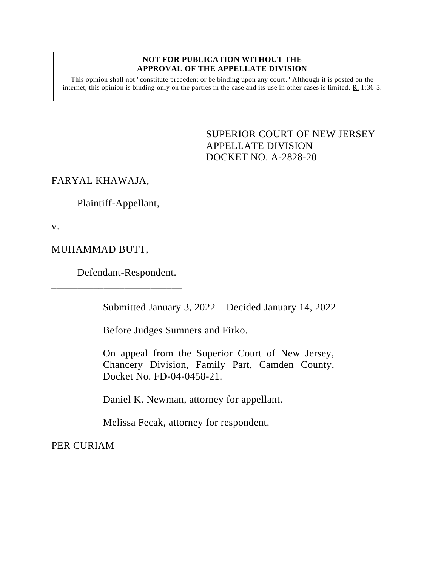## **NOT FOR PUBLICATION WITHOUT THE APPROVAL OF THE APPELLATE DIVISION**

This opinion shall not "constitute precedent or be binding upon any court." Although it is posted on the internet, this opinion is binding only on the parties in the case and its use in other cases is limited. R. 1:36-3.

> <span id="page-0-0"></span>SUPERIOR COURT OF NEW JERSEY APPELLATE DIVISION DOCKET NO. A-2828-20

FARYAL KHAWAJA,

Plaintiff-Appellant,

v.

MUHAMMAD BUTT,

Defendant-Respondent.

\_\_\_\_\_\_\_\_\_\_\_\_\_\_\_\_\_\_\_\_\_\_\_\_\_

Submitted January 3, 2022 – Decided January 14, 2022

Before Judges Sumners and Firko.

On appeal from the Superior Court of New Jersey, Chancery Division, Family Part, Camden County, Docket No. FD-04-0458-21.

Daniel K. Newman, attorney for appellant.

Melissa Fecak, attorney for respondent.

PER CURIAM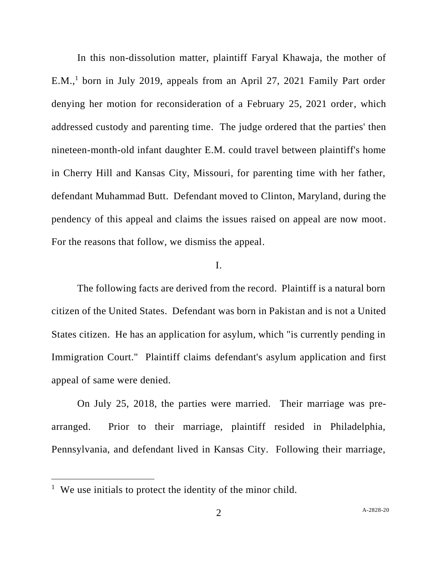In this non-dissolution matter, plaintiff Faryal Khawaja, the mother of  $E.M.,<sup>1</sup>$  born in July 2019, appeals from an April 27, 2021 Family Part order denying her motion for reconsideration of a February 25, 2021 order, which addressed custody and parenting time. The judge ordered that the parties' then nineteen-month-old infant daughter E.M. could travel between plaintiff's home in Cherry Hill and Kansas City, Missouri, for parenting time with her father, defendant Muhammad Butt. Defendant moved to Clinton, Maryland, during the pendency of this appeal and claims the issues raised on appeal are now moot. For the reasons that follow, we dismiss the appeal.

## I.

The following facts are derived from the record. Plaintiff is a natural born citizen of the United States. Defendant was born in Pakistan and is not a United States citizen. He has an application for asylum, which "is currently pending in Immigration Court." Plaintiff claims defendant's asylum application and first appeal of same were denied.

On July 25, 2018, the parties were married. Their marriage was prearranged. Prior to their marriage, plaintiff resided in Philadelphia, Pennsylvania, and defendant lived in Kansas City. Following their marriage,

<sup>&</sup>lt;sup>1</sup> We use initials to protect the identity of the minor child.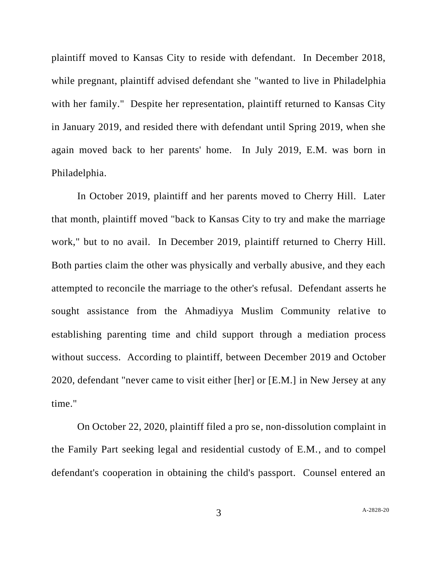plaintiff moved to Kansas City to reside with defendant. In December 2018, while pregnant, plaintiff advised defendant she "wanted to live in Philadelphia with her family." Despite her representation, plaintiff returned to Kansas City in January 2019, and resided there with defendant until Spring 2019, when she again moved back to her parents' home. In July 2019, E.M. was born in Philadelphia.

In October 2019, plaintiff and her parents moved to Cherry Hill. Later that month, plaintiff moved "back to Kansas City to try and make the marriage work," but to no avail. In December 2019, plaintiff returned to Cherry Hill. Both parties claim the other was physically and verbally abusive, and they each attempted to reconcile the marriage to the other's refusal. Defendant asserts he sought assistance from the Ahmadiyya Muslim Community relative to establishing parenting time and child support through a mediation process without success. According to plaintiff, between December 2019 and October 2020, defendant "never came to visit either [her] or [E.M.] in New Jersey at any time."

On October 22, 2020, plaintiff filed a pro se, non-dissolution complaint in the Family Part seeking legal and residential custody of E.M., and to compel defendant's cooperation in obtaining the child's passport. Counsel entered an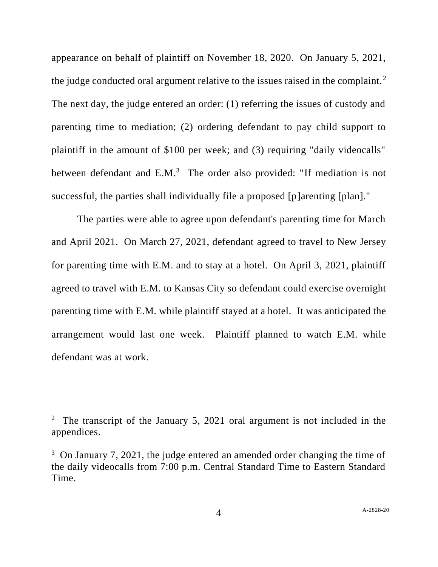appearance on behalf of plaintiff on November 18, 2020. On January 5, 2021, the judge conducted oral argument relative to the issues raised in the complaint.<sup>2</sup> The next day, the judge entered an order: (1) referring the issues of custody and parenting time to mediation; (2) ordering defendant to pay child support to plaintiff in the amount of \$100 per week; and (3) requiring "daily videocalls" between defendant and E.M.<sup>3</sup> The order also provided: "If mediation is not successful, the parties shall individually file a proposed [p]arenting [plan]."

The parties were able to agree upon defendant's parenting time for March and April 2021. On March 27, 2021, defendant agreed to travel to New Jersey for parenting time with E.M. and to stay at a hotel. On April 3, 2021, plaintiff agreed to travel with E.M. to Kansas City so defendant could exercise overnight parenting time with E.M. while plaintiff stayed at a hotel. It was anticipated the arrangement would last one week. Plaintiff planned to watch E.M. while defendant was at work.

<sup>&</sup>lt;sup>2</sup> The transcript of the January 5, 2021 oral argument is not included in the appendices.

 $3$  On January 7, 2021, the judge entered an amended order changing the time of the daily videocalls from 7:00 p.m. Central Standard Time to Eastern Standard Time.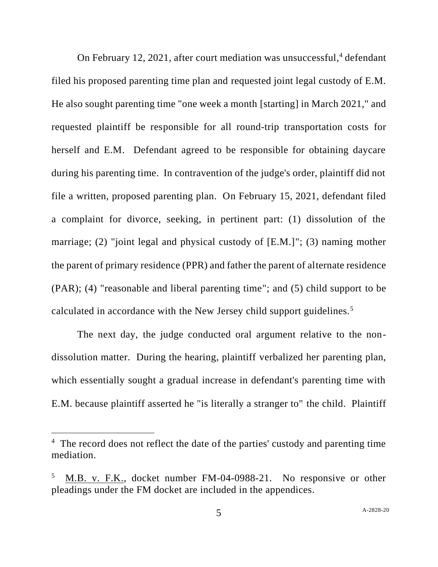On February 12, 2021, after court mediation was unsuccessful, <sup>4</sup> defendant filed his proposed parenting time plan and requested joint legal custody of E.M. He also sought parenting time "one week a month [starting] in March 2021," and requested plaintiff be responsible for all round-trip transportation costs for herself and E.M. Defendant agreed to be responsible for obtaining daycare during his parenting time. In contravention of the judge's order, plaintiff did not file a written, proposed parenting plan. On February 15, 2021, defendant filed a complaint for divorce, seeking, in pertinent part: (1) dissolution of the marriage; (2) "joint legal and physical custody of [E.M.]"; (3) naming mother the parent of primary residence (PPR) and father the parent of alternate residence (PAR); (4) "reasonable and liberal parenting time"; and (5) child support to be calculated in accordance with the New Jersey child support guidelines.<sup>5</sup>

The next day, the judge conducted oral argument relative to the nondissolution matter. During the hearing, plaintiff verbalized her parenting plan, which essentially sought a gradual increase in defendant's parenting time with E.M. because plaintiff asserted he "is literally a stranger to" the child. Plaintiff

<sup>&</sup>lt;sup>4</sup> The record does not reflect the date of the parties' custody and parenting time mediation.

<sup>5</sup> M.B. v. F.K., docket number FM-04-0988-21. No responsive or other pleadings under the FM docket are included in the appendices.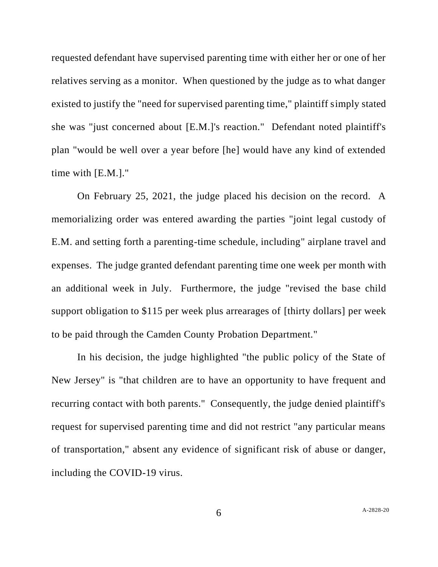requested defendant have supervised parenting time with either her or one of her relatives serving as a monitor. When questioned by the judge as to what danger existed to justify the "need for supervised parenting time," plaintiff simply stated she was "just concerned about [E.M.]'s reaction." Defendant noted plaintiff's plan "would be well over a year before [he] would have any kind of extended time with [E.M.]."

On February 25, 2021, the judge placed his decision on the record. A memorializing order was entered awarding the parties "joint legal custody of E.M. and setting forth a parenting-time schedule, including" airplane travel and expenses. The judge granted defendant parenting time one week per month with an additional week in July. Furthermore, the judge "revised the base child support obligation to \$115 per week plus arrearages of [thirty dollars] per week to be paid through the Camden County Probation Department."

In his decision, the judge highlighted "the public policy of the State of New Jersey" is "that children are to have an opportunity to have frequent and recurring contact with both parents." Consequently, the judge denied plaintiff's request for supervised parenting time and did not restrict "any particular means of transportation," absent any evidence of significant risk of abuse or danger, including the COVID-19 virus.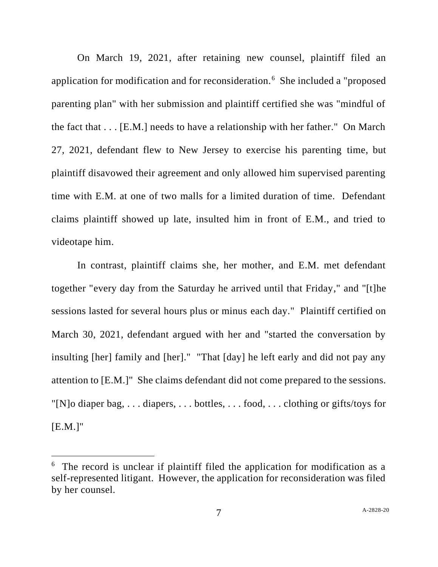On March 19, 2021, after retaining new counsel, plaintiff filed an application for modification and for reconsideration.<sup>6</sup> She included a "proposed parenting plan" with her submission and plaintiff certified she was "mindful of the fact that . . . [E.M.] needs to have a relationship with her father." On March 27, 2021, defendant flew to New Jersey to exercise his parenting time, but plaintiff disavowed their agreement and only allowed him supervised parenting time with E.M. at one of two malls for a limited duration of time. Defendant claims plaintiff showed up late, insulted him in front of E.M., and tried to videotape him.

In contrast, plaintiff claims she, her mother, and E.M. met defendant together "every day from the Saturday he arrived until that Friday," and "[t]he sessions lasted for several hours plus or minus each day." Plaintiff certified on March 30, 2021, defendant argued with her and "started the conversation by insulting [her] family and [her]." "That [day] he left early and did not pay any attention to [E.M.]" She claims defendant did not come prepared to the sessions. "[N]o diaper bag, . . . diapers, . . . bottles, . . . food, . . . clothing or gifts/toys for  $[E.M.]$ "

<sup>&</sup>lt;sup>6</sup> The record is unclear if plaintiff filed the application for modification as a self-represented litigant. However, the application for reconsideration was filed by her counsel.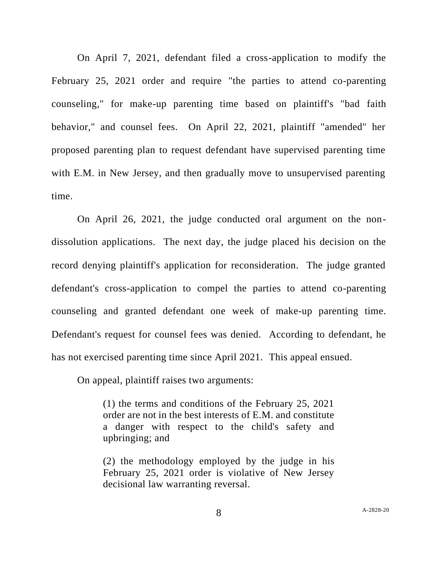On April 7, 2021, defendant filed a cross-application to modify the February 25, 2021 order and require "the parties to attend co-parenting counseling," for make-up parenting time based on plaintiff's "bad faith behavior," and counsel fees. On April 22, 2021, plaintiff "amended" her proposed parenting plan to request defendant have supervised parenting time with E.M. in New Jersey, and then gradually move to unsupervised parenting time.

On April 26, 2021, the judge conducted oral argument on the nondissolution applications. The next day, the judge placed his decision on the record denying plaintiff's application for reconsideration. The judge granted defendant's cross-application to compel the parties to attend co-parenting counseling and granted defendant one week of make-up parenting time. Defendant's request for counsel fees was denied. According to defendant, he has not exercised parenting time since April 2021. This appeal ensued.

On appeal, plaintiff raises two arguments:

(1) the terms and conditions of the February 25, 2021 order are not in the best interests of E.M. and constitute a danger with respect to the child's safety and upbringing; and

(2) the methodology employed by the judge in his February 25, 2021 order is violative of New Jersey decisional law warranting reversal.

8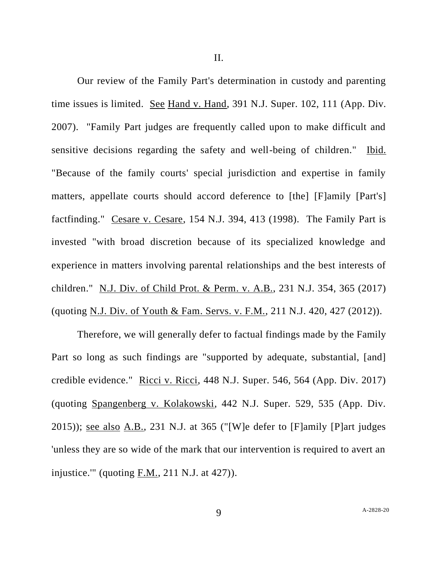II.

Our review of the Family Part's determination in custody and parenting time issues is limited. See Hand v. Hand, 391 N.J. Super. 102, 111 (App. Div. 2007). "Family Part judges are frequently called upon to make difficult and sensitive decisions regarding the safety and well-being of children." Ibid. "Because of the family courts' special jurisdiction and expertise in family matters, appellate courts should accord deference to [the] [F]amily [Part's] factfinding." Cesare v. Cesare, 154 N.J. 394, 413 (1998). The Family Part is invested "with broad discretion because of its specialized knowledge and experience in matters involving parental relationships and the best interests of children." N.J. Div. of Child Prot. & Perm. v. A.B., 231 N.J. 354, 365 (2017) (quoting N.J. Div. of Youth & Fam. Servs. v. F.M., 211 N.J. 420, 427 (2012)).

Therefore, we will generally defer to factual findings made by the Family Part so long as such findings are "supported by adequate, substantial, [and] credible evidence." Ricci v. Ricci, 448 N.J. Super. 546, 564 (App. Div. 2017) (quoting Spangenberg v. Kolakowski, 442 N.J. Super. 529, 535 (App. Div. 2015)); see also A.B., 231 N.J. at 365 ("[W]e defer to [F]amily [P]art judges 'unless they are so wide of the mark that our intervention is required to avert an injustice.'" (quoting F.M., 211 N.J. at 427)).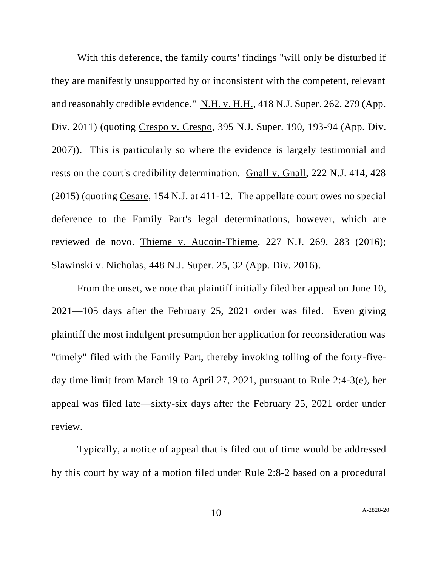With this deference, the family courts' findings "will only be disturbed if they are manifestly unsupported by or inconsistent with the competent, relevant and reasonably credible evidence." N.H. v. H.H., 418 N.J. Super. 262, 279 (App. Div. 2011) (quoting Crespo v. Crespo, 395 N.J. Super. 190, 193-94 (App. Div. 2007)). This is particularly so where the evidence is largely testimonial and rests on the court's credibility determination. Gnall v. Gnall, 222 N.J. 414, 428 (2015) (quoting Cesare, 154 N.J. at 411-12. The appellate court owes no special deference to the Family Part's legal determinations, however, which are reviewed de novo. Thieme v. Aucoin-Thieme, 227 N.J. 269, 283 (2016); Slawinski v. Nicholas, 448 N.J. Super. 25, 32 (App. Div. 2016).

From the onset, we note that plaintiff initially filed her appeal on June 10, 2021—105 days after the February 25, 2021 order was filed. Even giving plaintiff the most indulgent presumption her application for reconsideration was "timely" filed with the Family Part, thereby invoking tolling of the forty-fiveday time limit from March 19 to April 27, 2021, pursuant to Rule 2:4-3(e), her appeal was filed late—sixty-six days after the February 25, 2021 order under review.

Typically, a notice of appeal that is filed out of time would be addressed by this court by way of a motion filed under Rule 2:8-2 based on a procedural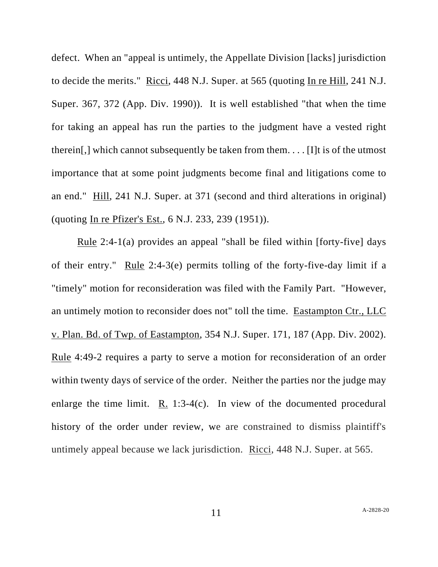defect. When an "appeal is untimely, the Appellate Division [lacks] jurisdiction to decide the merits." Ricci, 448 N.J. Super. at 565 (quoting In re Hill, 241 N.J. Super. 367, 372 (App. Div. 1990)). It is well established "that when the time for taking an appeal has run the parties to the judgment have a vested right therein[,] which cannot subsequently be taken from them. . . . [I]t is of the utmost importance that at some point judgments become final and litigations come to an end." Hill, 241 N.J. Super. at 371 (second and third alterations in original) (quoting In re Pfizer's Est., 6 N.J. 233, 239 (1951)).

Rule 2:4-1(a) provides an appeal "shall be filed within [forty-five] days of their entry." Rule 2:4-3(e) permits tolling of the forty-five-day limit if a "timely" motion for reconsideration was filed with the Family Part. "However, an untimely motion to reconsider does not" toll the time. Eastampton Ctr., LLC v. Plan. Bd. of Twp. of Eastampton, 354 N.J. Super. 171, 187 (App. Div. 2002). Rule 4:49-2 requires a party to serve a motion for reconsideration of an order within twenty days of service of the order. Neither the parties nor the judge may enlarge the time limit.  $R_1$  1:3-4(c). In view of the documented procedural history of the order under review, we are constrained to dismiss plaintiff's untimely appeal because we lack jurisdiction. Ricci, 448 N.J. Super. at 565.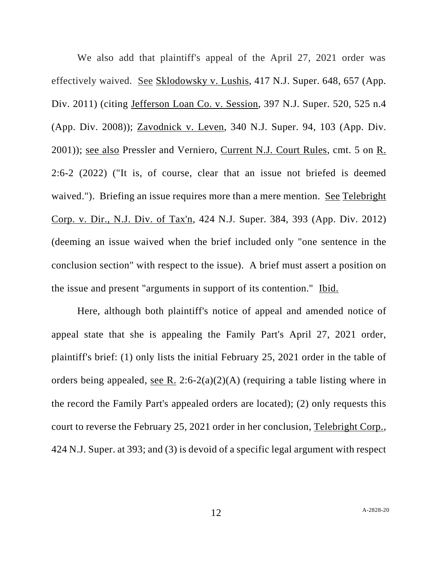We also add that plaintiff's appeal of the April 27, 2021 order was effectively waived. See Sklodowsky v. Lushis, 417 N.J. Super. 648, 657 (App. Div. 2011) (citing Jefferson Loan Co. v. Session, 397 N.J. Super. 520, 525 n.4 (App. Div. 2008)); Zavodnick v. Leven, 340 N.J. Super. 94, 103 (App. Div. 2001)); see also Pressler and Verniero, Current N.J. Court Rules, cmt. 5 on R. 2:6-2 (2022) ("It is, of course, clear that an issue not briefed is deemed waived."). Briefing an issue requires more than a mere mention. See Telebright Corp. v. Dir., N.J. Div. of Tax'n, 424 N.J. Super. 384, 393 (App. Div. 2012) (deeming an issue waived when the brief included only "one sentence in the conclusion section" with respect to the issue). A brief must assert a position on the issue and present "arguments in support of its contention." Ibid.

Here, although both plaintiff's notice of appeal and amended notice of appeal state that she is appealing the Family Part's April 27, 2021 order, plaintiff's brief: (1) only lists the initial February 25, 2021 order in the table of orders being appealed, <u>see R.</u> 2:6-2(a)(2)(A) (requiring a table listing where in the record the Family Part's appealed orders are located); (2) only requests this court to reverse the February 25, 2021 order in her conclusion, Telebright Corp., 424 N.J. Super. at 393; and (3) is devoid of a specific legal argument with respect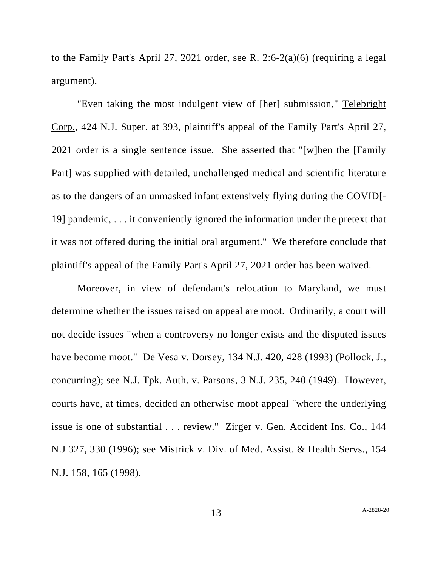to the Family Part's April 27, 2021 order, see R. 2:6-2(a)(6) (requiring a legal argument).

"Even taking the most indulgent view of [her] submission," Telebright Corp., 424 N.J. Super. at 393, plaintiff's appeal of the Family Part's April 27, 2021 order is a single sentence issue. She asserted that "[w]hen the [Family Part] was supplied with detailed, unchallenged medical and scientific literature as to the dangers of an unmasked infant extensively flying during the COVID[- 19] pandemic, . . . it conveniently ignored the information under the pretext that it was not offered during the initial oral argument." We therefore conclude that plaintiff's appeal of the Family Part's April 27, 2021 order has been waived.

Moreover, in view of defendant's relocation to Maryland, we must determine whether the issues raised on appeal are moot. Ordinarily, a court will not decide issues "when a controversy no longer exists and the disputed issues have become moot." <u>De Vesa v. Dorsey</u>, 134 N.J. 420, 428 (1993) (Pollock, J., concurring); see N.J. Tpk. Auth. v. Parsons, 3 N.J. 235, 240 (1949). However, courts have, at times, decided an otherwise moot appeal "where the underlying issue is one of substantial . . . review." Zirger v. Gen. Accident Ins. Co., 144 N.J 327, 330 (1996); see Mistrick v. Div. of Med. Assist. & Health Servs., 154 N.J. 158, 165 (1998).